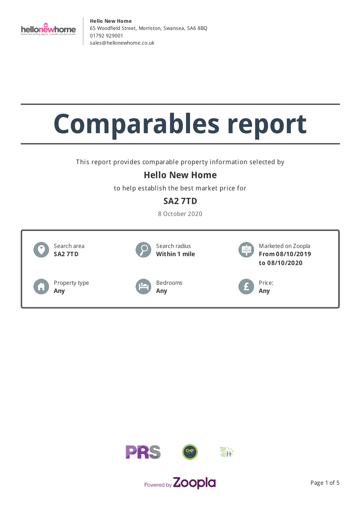

# **Comparables report**

This report provides comparable property information selected by

# **Hello New Home**

to help establish the best market price for

# **SA2 7TD**

8 October 2020



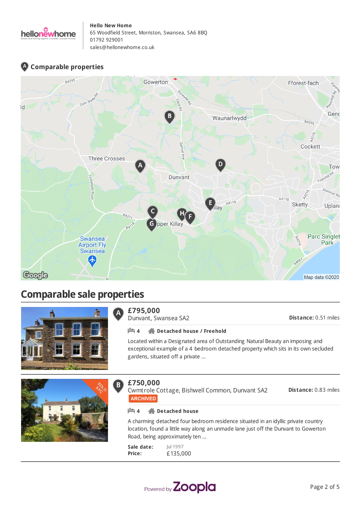

## **Comparable properties**



# **Comparable sale properties**



#### **£795,000** A

Dunvant, Swansea SA2

**Distance:** 0.51 miles

### **4 Detached house / Freehold**

Located within a Designated area of Outstanding Natural Beauty an imposing and exceptional example of a 4 bedroom detached property which sits in its own secluded gardens, situated off a private ...



#### **£750,000**  $\bf{B}$

Cwmtrole Cottage, Bishwell Common, Dunvant SA2 **ARCHIVED** 

**Distance:** 0.83 miles

### **4 Detached house**

A charming detached four bedroom residence situated in an idyllic private country location, found a little way along an unmade lane just off the Dunvant to Gowerton Road, being approximately ten ...

**Sale date: Price:** Jul 1997 £135,000

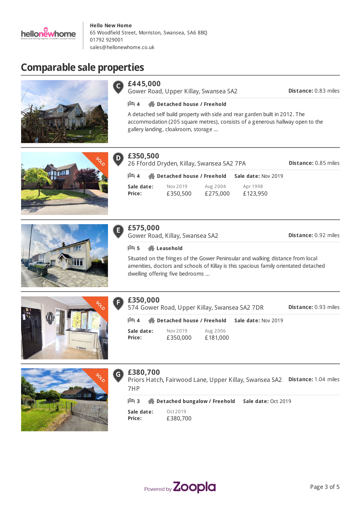

# **Comparable sale properties**





Gower Road, Upper Killay, Swansea SA2

**Distance:** 0.83 miles

### **4 Detached house / Freehold**

A detached self build property with side and rear garden built in 2012. The accommodation (205 square metres), consists of a generous hallway open to the gallery landing, cloakroom, storage ...





#### **£350,500** D)

| £350,500<br><b>Distance: 0.85 miles</b><br>26 Ffordd Dryden, Killay, Swansea SA2 7PA |                                   |                      |                      |  |  |
|--------------------------------------------------------------------------------------|-----------------------------------|----------------------|----------------------|--|--|
| $\mathbb{H}$ 4                                                                       | <b>Predicted Boose / Freehold</b> |                      | Sale date: Nov 2019  |  |  |
| Sale date:<br>Price:                                                                 | Nov 2019<br>£350,500              | Aug 2004<br>£275,000 | Apr 1998<br>£123,950 |  |  |



Gower Road, Killay, Swansea SA2

**Distance:** 0.92 miles

### **5 Leasehold**

Situated on the fringes of the Gower Peninsular and walking distance from local amenities, doctors and schools of Killay is this spacious family orientated detached dwelling offering five bedrooms ...



### **£350,000**

574 Gower Road, Upper Killay, Swansea SA2 7DR

**Distance:** 0.93 miles

**Sale date: Price:** Nov 2019 £350,000 Aug 2006 £181,000 **4 Detached house / Freehold Sale date:** Nov 2019



### **£380,700**

 $\mathsf{G}$ Priors Hatch, Fairwood Lane, Upper Killay, Swansea SA2 **Distance:** 1.04 miles 7HP

| <b>LA</b> 3 | Detached bungalow / Freehold | Sale date: Oct 2019 |
|-------------|------------------------------|---------------------|
|-------------|------------------------------|---------------------|

| Sale date: | Oct 2019 |
|------------|----------|
| Price:     | £380,700 |

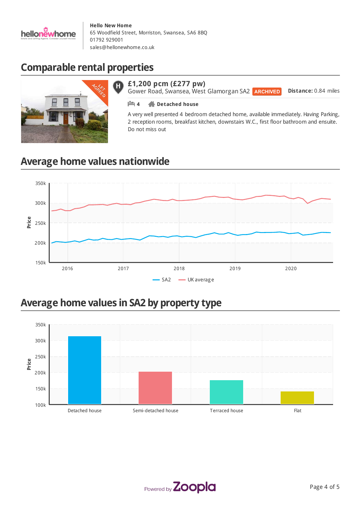

# **Comparable rental properties**



### **£1,200 pcm (£277 pw)**

**Distance:** 0.84 miles Gower Road, Swansea, West Glamorgan SA2 ARCHIVED

### **4 Detached house**

A very well presented 4 bedroom detached home, available immediately. Having Parking, 2 reception rooms, breakfast kitchen, downstairs W.C., first floor bathroom and ensuite. Do not miss out

# **Average home values nationwide**



# **Average home values in SA2 by property type**